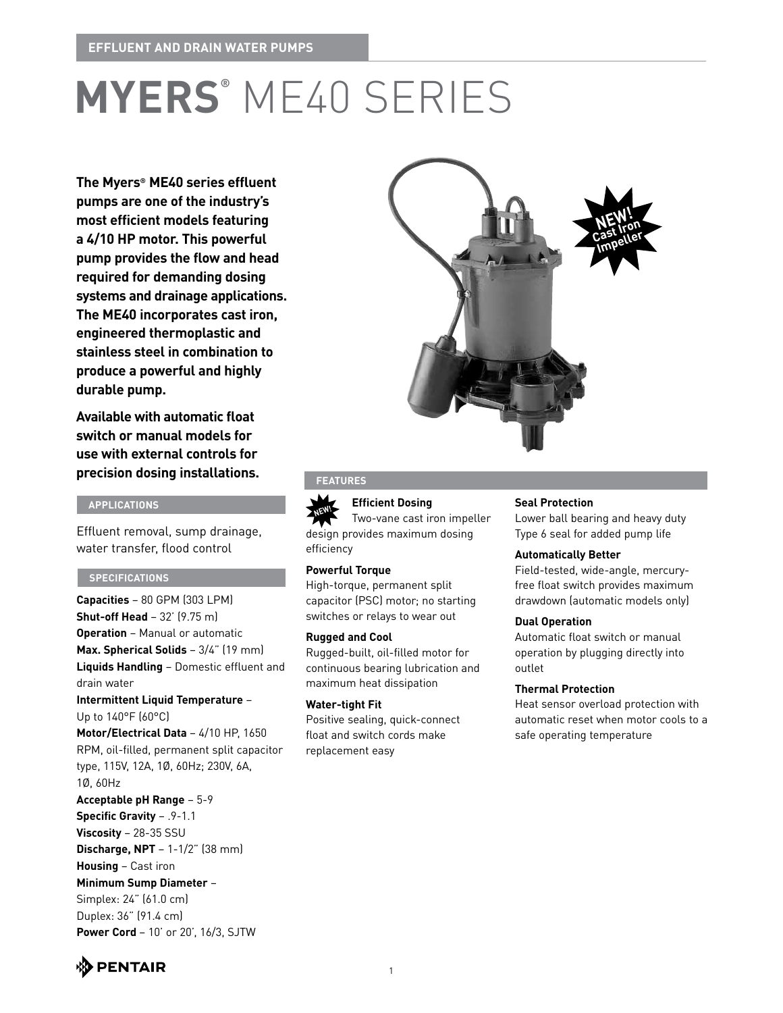**The Myers® ME40 series effluent pumps are one of the industry's most efficient models featuring a 4/10 HP motor. This powerful pump provides the flow and head required for demanding dosing systems and drainage applications. The ME40 incorporates cast iron, engineered thermoplastic and stainless steel in combination to produce a powerful and highly durable pump.**

**Available with automatic float switch or manual models for use with external controls for precision dosing installations.**

#### **applications**

Effluent removal, sump drainage, water transfer, flood control

#### **specifications**

**Capacities** – 80 GPM (303 LPM) **Shut-off Head** – 32' (9.75 m) **Operation** – Manual or automatic **Max. Spherical Solids** – 3/4" (19 mm) **Liquids Handling** – Domestic effluent and drain water **Intermittent Liquid Temperature** – Up to 140°F (60°C) **Motor/Electrical Data** – 4/10 HP, 1650 RPM, oil-filled, permanent split capacitor type, 115V, 12A, 1Ø, 60Hz; 230V, 6A, 1Ø, 60Hz

**Acceptable pH Range** – 5-9 **Specific Gravity** – .9-1.1 **Viscosity** – 28-35 SSU **Discharge, NPT** – 1-1/2" (38 mm) **Housing** – Cast iron **Minimum Sump Diameter** – Simplex: 24" (61.0 cm) Duplex: 36" (91.4 cm) **Power Cord** – 10' or 20', 16/3, SJTW



#### **features**

#### **Efficient Dosing**

Two-vane cast iron impeller design provides maximum dosing efficiency **NEW!**

#### **Powerful Torque**

High-torque, permanent split capacitor (PSC) motor; no starting switches or relays to wear out

#### **Rugged and Cool**

Rugged-built, oil-filled motor for continuous bearing lubrication and maximum heat dissipation

#### **Water-tight Fit**

Positive sealing, quick-connect float and switch cords make replacement easy

#### **Seal Protection**

Lower ball bearing and heavy duty Type 6 seal for added pump life

#### **Automatically Better**

Field-tested, wide-angle, mercuryfree float switch provides maximum drawdown (automatic models only)

#### **Dual Operation**

Automatic float switch or manual operation by plugging directly into outlet

#### **Thermal Protection**

Heat sensor overload protection with automatic reset when motor cools to a safe operating temperature

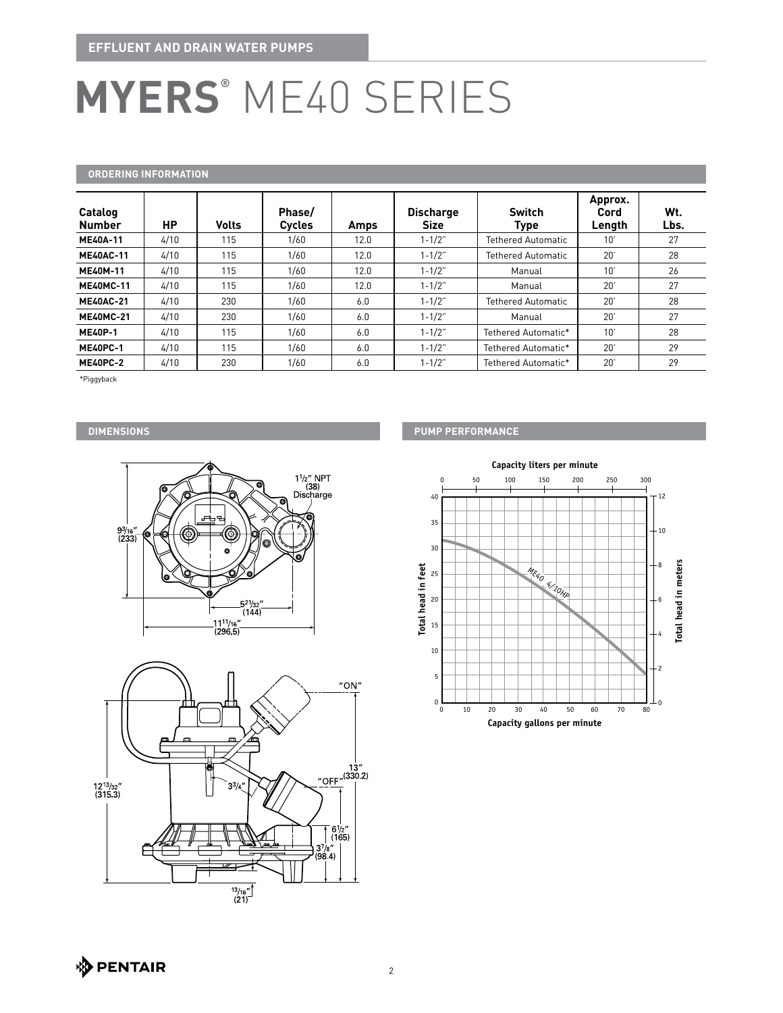#### **ordering information**

| Catalog<br><b>Number</b> | НP   | <b>Volts</b> | Phase/<br><b>Cycles</b> | <b>Amps</b> | <b>Discharge</b><br><b>Size</b> | <b>Switch</b><br>Type     | Approx.<br>Cord<br>Length | Wt.<br>Lbs. |
|--------------------------|------|--------------|-------------------------|-------------|---------------------------------|---------------------------|---------------------------|-------------|
| <b>ME40A-11</b>          | 4/10 | 115          | 1/60                    | 12.0        | $1 - 1/2$ "                     | Tethered Automatic        | 10'                       | 27          |
| <b>ME40AC-11</b>         | 4/10 | 115          | 1/60                    | 12.0        | $1 - 1/2$ "                     | Tethered Automatic        | 20'                       | 28          |
| <b>ME40M-11</b>          | 4/10 | 115          | 1/60                    | 12.0        | $1 - 1/2"$                      | Manual                    | 10'                       | 26          |
| <b>ME40MC-11</b>         | 4/10 | 115          | 1/60                    | 12.0        | $1 - 1/2"$                      | Manual                    | 20'                       | 27          |
| <b>ME40AC-21</b>         | 4/10 | 230          | 1/60                    | 6.0         | $1 - 1/2$ "                     | <b>Tethered Automatic</b> | 20'                       | 28          |
| <b>ME40MC-21</b>         | 4/10 | 230          | 1/60                    | 6.0         | $1 - 1/2"$                      | Manual                    | 20'                       | 27          |
| <b>ME40P-1</b>           | 4/10 | 115          | 1/60                    | 6.0         | $1 - 1/2"$                      | Tethered Automatic*       | 10'                       | 28          |
| <b>ME40PC-1</b>          | 4/10 | 115          | 1/60                    | 6.0         | $1 - 1/2$ "                     | Tethered Automatic*       | 20'                       | 29          |
| <b>ME40PC-2</b>          | 4/10 | 230          | 1/60                    | 6.0         | $1 - 1/2"$                      | Tethered Automatic*       | 20'                       | 29          |

\*Piggyback

#### **DIMENSIONS**





#### **PUMP PERFORMANCE**

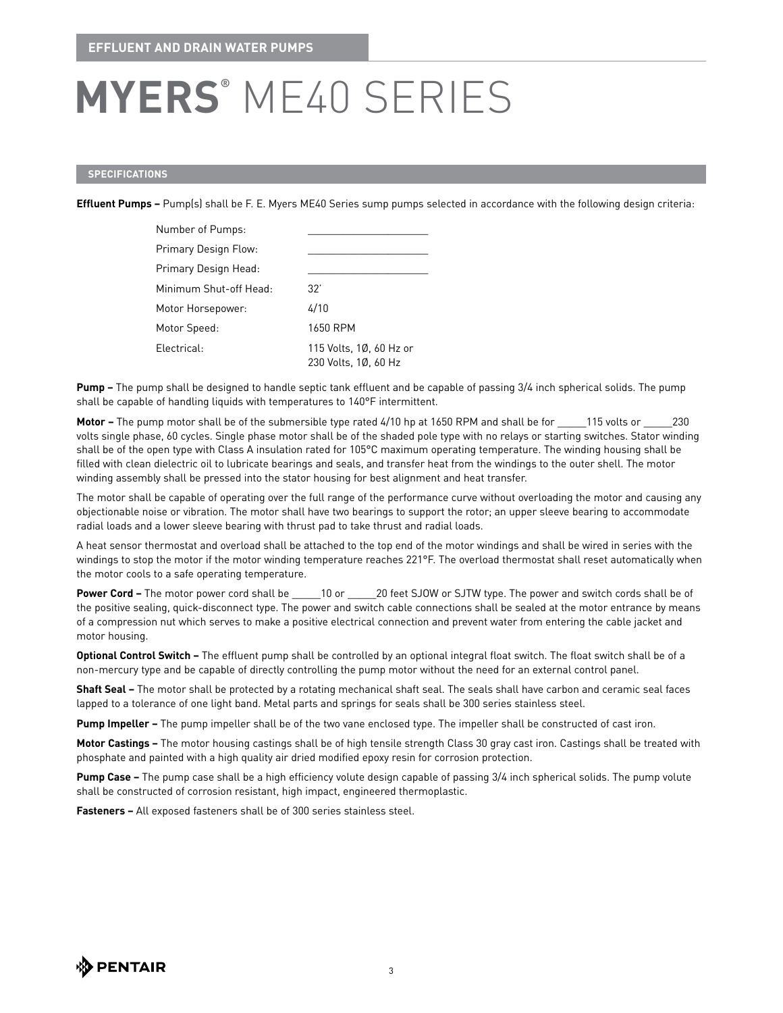#### **SPECIFICATIONS**

**Effluent Pumps –** Pump(s) shall be F. E. Myers ME40 Series sump pumps selected in accordance with the following design criteria:

| Number of Pumps:       |                                                 |
|------------------------|-------------------------------------------------|
| Primary Design Flow:   |                                                 |
| Primary Design Head:   |                                                 |
| Minimum Shut-off Head: | 32'                                             |
| Motor Horsepower:      | 4/10                                            |
| Motor Speed:           | 1650 RPM                                        |
| Electrical:            | 115 Volts, 10, 60 Hz or<br>230 Volts, 10, 60 Hz |

**Pump –** The pump shall be designed to handle septic tank effluent and be capable of passing 3/4 inch spherical solids. The pump shall be capable of handling liquids with temperatures to 140°F intermittent.

**Motor –** The pump motor shall be of the submersible type rated 4/10 hp at 1650 RPM and shall be for \_\_\_\_\_115 volts or \_\_\_\_\_230 volts single phase, 60 cycles. Single phase motor shall be of the shaded pole type with no relays or starting switches. Stator winding shall be of the open type with Class A insulation rated for 105°C maximum operating temperature. The winding housing shall be filled with clean dielectric oil to lubricate bearings and seals, and transfer heat from the windings to the outer shell. The motor winding assembly shall be pressed into the stator housing for best alignment and heat transfer.

The motor shall be capable of operating over the full range of the performance curve without overloading the motor and causing any objectionable noise or vibration. The motor shall have two bearings to support the rotor; an upper sleeve bearing to accommodate radial loads and a lower sleeve bearing with thrust pad to take thrust and radial loads.

A heat sensor thermostat and overload shall be attached to the top end of the motor windings and shall be wired in series with the windings to stop the motor if the motor winding temperature reaches 221°F. The overload thermostat shall reset automatically when the motor cools to a safe operating temperature.

**Power Cord –** The motor power cord shall be  $10 \text{ or } 20$  feet SJOW or SJTW type. The power and switch cords shall be of the positive sealing, quick-disconnect type. The power and switch cable connections shall be sealed at the motor entrance by means of a compression nut which serves to make a positive electrical connection and prevent water from entering the cable jacket and motor housing.

**Optional Control Switch –** The effluent pump shall be controlled by an optional integral float switch. The float switch shall be of a non-mercury type and be capable of directly controlling the pump motor without the need for an external control panel.

**Shaft Seal –** The motor shall be protected by a rotating mechanical shaft seal. The seals shall have carbon and ceramic seal faces lapped to a tolerance of one light band. Metal parts and springs for seals shall be 300 series stainless steel.

**Pump Impeller –** The pump impeller shall be of the two vane enclosed type. The impeller shall be constructed of cast iron.

**Motor Castings –** The motor housing castings shall be of high tensile strength Class 30 gray cast iron. Castings shall be treated with phosphate and painted with a high quality air dried modified epoxy resin for corrosion protection.

**Pump Case –** The pump case shall be a high efficiency volute design capable of passing 3/4 inch spherical solids. The pump volute shall be constructed of corrosion resistant, high impact, engineered thermoplastic.

**Fasteners –** All exposed fasteners shall be of 300 series stainless steel.